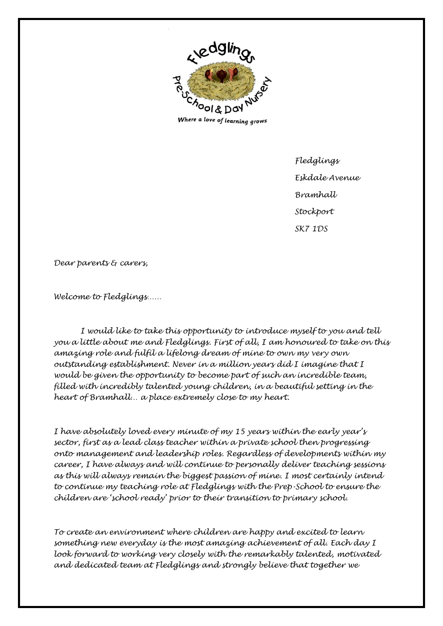

*Fledglings Eskdale Avenue Bramhall Stockport SK7 1DS*

*Dear parents & carers,*

*Welcome to Fledglings……*

*I would like to take this opportunity to introduce myself to you and tell you a little about me and Fledglings. First of all, I am honoured to take on this amazing role and fulfil a lifelong dream of mine to own my very own outstanding establishment. Never in a million years did I imagine that I would be given the opportunity to become part of such an incredible team, filled with incredibly talented young children, in a beautiful setting in the heart of Bramhall… a place extremely close to my heart.*

*I have absolutely loved every minute of my 15 years within the early year's sector, first as a lead class teacher within a private school then progressing onto management and leadership roles. Regardless of developments within my career, I have always and will continue to personally deliver teaching sessions as this will always remain the biggest passion of mine. I most certainly intend to continue my teaching role at Fledglings with the Prep-School to ensure the children are 'school ready' prior to their transition to primary school.*

*To create an environment where children are happy and excited to learn something new everyday is the most amazing achievement of all. Each day I look forward to working very closely with the remarkably talented, motivated and dedicated team at Fledglings and strongly believe that together we*